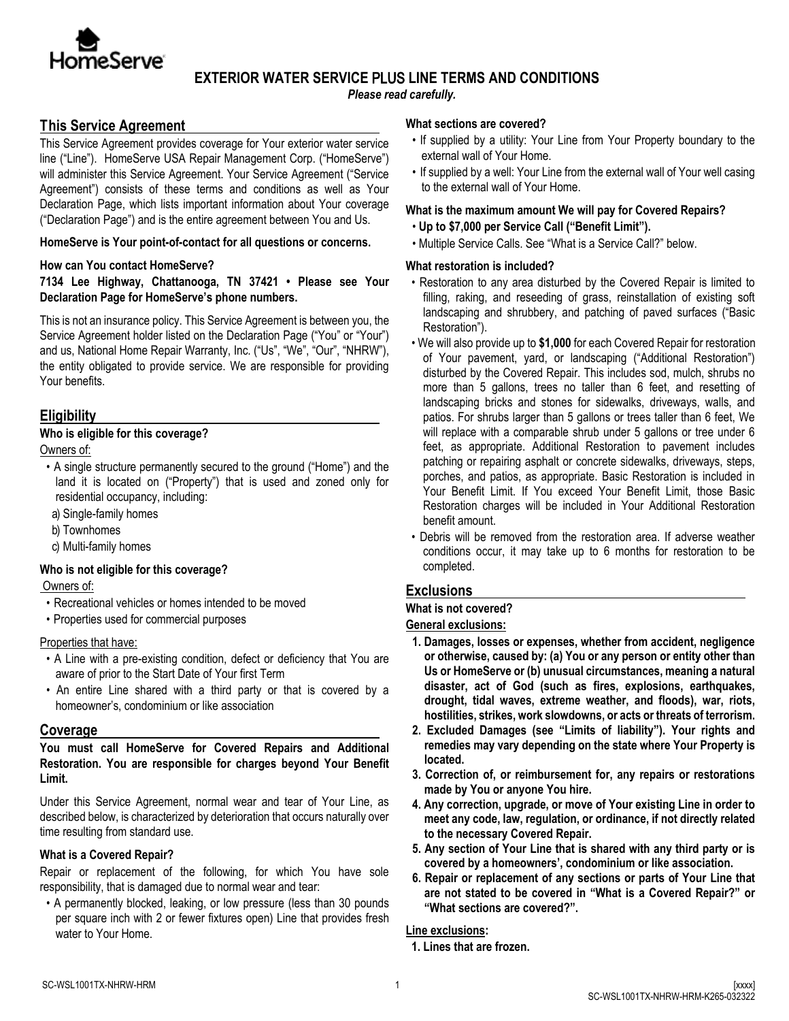

# **EXTERIOR WATER SERVICE** PLUS **LINE TERMS AND CONDITIONS**

*Please read carefully.* 

# **This Service Agreement**

This Service Agreement provides coverage for Your exterior water service line ("Line"). HomeServe USA Repair Management Corp. ("HomeServe") will administer this Service Agreement. Your Service Agreement ("Service Agreement") consists of these terms and conditions as well as Your Declaration Page, which lists important information about Your coverage ("Declaration Page") and is the entire agreement between You and Us.

#### **HomeServe is Your point-of-contact for all questions or concerns.**

#### **How can You contact HomeServe?**

**7134 Lee Highway, Chattanooga, TN 37421 • Please see Your Declaration Page for HomeServe's phone numbers.** 

This is not an insurance policy. This Service Agreement is between you, the Service Agreement holder listed on the Declaration Page ("You" or "Your") and us, National Home Repair Warranty, Inc. ("Us", "We", "Our", "NHRW"), the entity obligated to provide service. We are responsible for providing Your benefits.

## **Eligibility**

#### **Who is eligible for this coverage?**

Owners of:

- A single structure permanently secured to the ground ("Home") and the land it is located on ("Property") that is used and zoned only for residential occupancy, including:
- a) Single-family homes
- b) Townhomes
- c) Multi-family homes

#### **Who is not eligible for this coverage?**

Owners of:

- Recreational vehicles or homes intended to be moved
- Properties used for commercial purposes

#### Properties that have:

- A Line with a pre-existing condition, defect or deficiency that You are aware of prior to the Start Date of Your first Term
- An entire Line shared with a third party or that is covered by a homeowner's, condominium or like association

## **Coverage**

**You must call HomeServe for Covered Repairs and Additional Restoration. You are responsible for charges beyond Your Benefit Limit.** 

Under this Service Agreement, normal wear and tear of Your Line, as described below, is characterized by deterioration that occurs naturally over time resulting from standard use.

### **What is a Covered Repair?**

Repair or replacement of the following, for which You have sole responsibility, that is damaged due to normal wear and tear:

• A permanently blocked, leaking, or low pressure (less than 30 pounds per square inch with 2 or fewer fixtures open) Line that provides fresh water to Your Home.

#### **What sections are covered?**

- If supplied by a utility: Your Line from Your Property boundary to the external wall of Your Home.
- If supplied by a well: Your Line from the external wall of Your well casing to the external wall of Your Home.

#### **What is the maximum amount We will pay for Covered Repairs?**

- **Up to \$7,000 per Service Call ("Benefit Limit").**
- Multiple Service Calls. See "What is a Service Call?" below.

#### **What restoration is included?**

- Restoration to any area disturbed by the Covered Repair is limited to filling, raking, and reseeding of grass, reinstallation of existing soft landscaping and shrubbery, and patching of paved surfaces ("Basic Restoration").
- We will also provide up to **\$1,000** for each Covered Repair for restoration of Your pavement, yard, or landscaping ("Additional Restoration") disturbed by the Covered Repair. This includes sod, mulch, shrubs no more than 5 gallons, trees no taller than 6 feet, and resetting of landscaping bricks and stones for sidewalks, driveways, walls, and patios. For shrubs larger than 5 gallons or trees taller than 6 feet, We will replace with a comparable shrub under 5 gallons or tree under 6 feet, as appropriate. Additional Restoration to pavement includes patching or repairing asphalt or concrete sidewalks, driveways, steps, porches, and patios, as appropriate. Basic Restoration is included in Your Benefit Limit. If You exceed Your Benefit Limit, those Basic Restoration charges will be included in Your Additional Restoration benefit amount.
- Debris will be removed from the restoration area. If adverse weather conditions occur, it may take up to 6 months for restoration to be completed.

# **Exclusions**

**What is not covered?** 

#### **General exclusions:**

- **1. Damages, losses or expenses, whether from accident, negligence or otherwise, caused by: (a) You or any person or entity other than Us or HomeServe or (b) unusual circumstances, meaning a natural disaster, act of God (such as fires, explosions, earthquakes, drought, tidal waves, extreme weather, and floods), war, riots, hostilities, strikes, work slowdowns, or acts or threats of terrorism.**
- **2. Excluded Damages (see "Limits of liability"). Your rights and remedies may vary depending on the state where Your Property is located.**
- **3. Correction of, or reimbursement for, any repairs or restorations made by You or anyone You hire.**
- **4. Any correction, upgrade, or move of Your existing Line in order to meet any code, law, regulation, or ordinance, if not directly related to the necessary Covered Repair.**
- **5. Any section of Your Line that is shared with any third party or is covered by a homeowners', condominium or like association.**
- **6. Repair or replacement of any sections or parts of Your Line that are not stated to be covered in "What is a Covered Repair?" or "What sections are covered?".**

#### **Line exclusions:**

**1. Lines that are frozen.**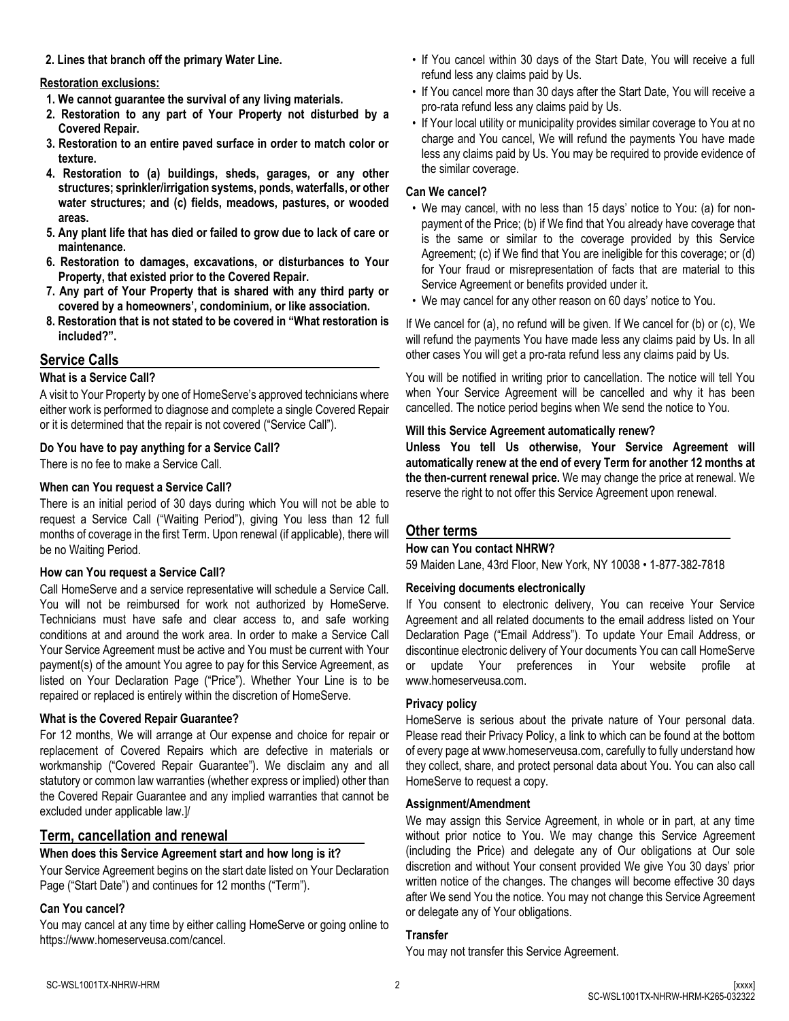**2. Lines that branch off the primary Water Line.**

#### **Restoration exclusions:**

- **1. We cannot guarantee the survival of any living materials.**
- **2. Restoration to any part of Your Property not disturbed by a Covered Repair.**
- **3. Restoration to an entire paved surface in order to match color or texture.**
- **4. Restoration to (a) buildings, sheds, garages, or any other structures; sprinkler/irrigation systems, ponds, waterfalls, or other water structures; and (c) fields, meadows, pastures, or wooded areas.**
- **5. Any plant life that has died or failed to grow due to lack of care or maintenance.**
- **6. Restoration to damages, excavations, or disturbances to Your Property, that existed prior to the Covered Repair.**
- **7. Any part of Your Property that is shared with any third party or covered by a homeowners', condominium, or like association.**
- **8. Restoration that is not stated to be covered in "What restoration is included?".**

# **Service Calls**

### **What is a Service Call?**

A visit to Your Property by one of HomeServe's approved technicians where either work is performed to diagnose and complete a single Covered Repair or it is determined that the repair is not covered ("Service Call").

### **Do You have to pay anything for a Service Call?**

There is no fee to make a Service Call.

### **When can You request a Service Call?**

There is an initial period of 30 days during which You will not be able to request a Service Call ("Waiting Period"), giving You less than 12 full months of coverage in the first Term. Upon renewal (if applicable), there will be no Waiting Period.

#### **How can You request a Service Call?**

Call HomeServe and a service representative will schedule a Service Call. You will not be reimbursed for work not authorized by HomeServe. Technicians must have safe and clear access to, and safe working conditions at and around the work area. In order to make a Service Call Your Service Agreement must be active and You must be current with Your payment(s) of the amount You agree to pay for this Service Agreement, as listed on Your Declaration Page ("Price"). Whether Your Line is to be repaired or replaced is entirely within the discretion of HomeServe.

#### **What is the Covered Repair Guarantee?**

For 12 months, We will arrange at Our expense and choice for repair or replacement of Covered Repairs which are defective in materials or workmanship ("Covered Repair Guarantee"). We disclaim any and all statutory or common law warranties (whether express or implied) other than the Covered Repair Guarantee and any implied warranties that cannot be excluded under applicable law.]/

## **Term, cancellation and renewal**

## **When does this Service Agreement start and how long is it?**

Your Service Agreement begins on the start date listed on Your Declaration Page ("Start Date") and continues for 12 months ("Term").

## **Can You cancel?**

You may cancel at any time by either calling HomeServe or going online to https://www.homeserveusa.com/cancel.

- If You cancel within 30 days of the Start Date, You will receive a full refund less any claims paid by Us.
- If You cancel more than 30 days after the Start Date, You will receive a pro-rata refund less any claims paid by Us.
- If Your local utility or municipality provides similar coverage to You at no charge and You cancel, We will refund the payments You have made less any claims paid by Us. You may be required to provide evidence of the similar coverage.

### **Can We cancel?**

- We may cancel, with no less than 15 days' notice to You: (a) for nonpayment of the Price; (b) if We find that You already have coverage that is the same or similar to the coverage provided by this Service Agreement; (c) if We find that You are ineligible for this coverage; or (d) for Your fraud or misrepresentation of facts that are material to this Service Agreement or benefits provided under it.
- We may cancel for any other reason on 60 days' notice to You.

If We cancel for (a), no refund will be given. If We cancel for (b) or (c), We will refund the payments You have made less any claims paid by Us. In all other cases You will get a pro-rata refund less any claims paid by Us.

You will be notified in writing prior to cancellation. The notice will tell You when Your Service Agreement will be cancelled and why it has been cancelled. The notice period begins when We send the notice to You.

### **Will this Service Agreement automatically renew?**

**Unless You tell Us otherwise, Your Service Agreement will automatically renew at the end of every Term for another 12 months at the then-current renewal price.** We may change the price at renewal. We reserve the right to not offer this Service Agreement upon renewal.

# **Other terms**

#### **How can You contact NHRW?**

59 Maiden Lane, 43rd Floor, New York, NY 10038 • 1-877-382-7818

#### **Receiving documents electronically**

If You consent to electronic delivery, You can receive Your Service Agreement and all related documents to the email address listed on Your Declaration Page ("Email Address"). To update Your Email Address, or discontinue electronic delivery of Your documents You can call HomeServe or update Your preferences in Your website profile at www.homeserveusa.com.

#### **Privacy policy**

HomeServe is serious about the private nature of Your personal data. Please read their Privacy Policy, a link to which can be found at the bottom of every page at www.homeserveusa.com, carefully to fully understand how they collect, share, and protect personal data about You. You can also call HomeServe to request a copy.

#### **Assignment/Amendment**

We may assign this Service Agreement, in whole or in part, at any time without prior notice to You. We may change this Service Agreement (including the Price) and delegate any of Our obligations at Our sole discretion and without Your consent provided We give You 30 days' prior written notice of the changes. The changes will become effective 30 days after We send You the notice. You may not change this Service Agreement or delegate any of Your obligations.

## **Transfer**

You may not transfer this Service Agreement.